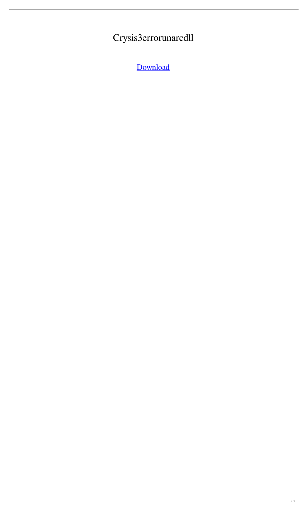## Crysis3errorunarcdll

[Download](http://evacdir.com/Q3J5c2lzM2Vycm9ydW5hcmNkbGwQ3J/boyars/ZG93bmxvYWR8TDVWWkhweWMzeDhNVFkxTlRnME1qazRNWHg4TWpVNU1IeDhLRTBwSUZkdmNtUndjbVZ6Y3lCYldFMU1VbEJESUZZeUlGQkVSbDA/analyse/bergamot/bustard.paternalists.salim.ginguettes)